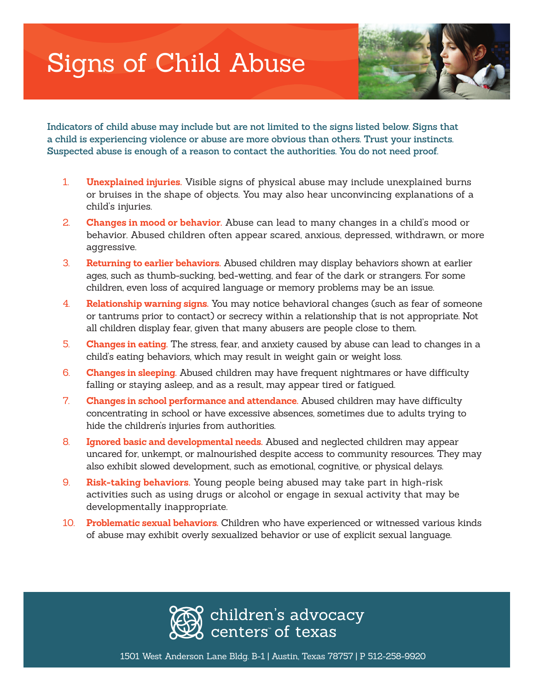# Signs of Child Abuse



**Indicators of child abuse may include but are not limited to the signs listed below. Signs that a child is experiencing violence or abuse are more obvious than others. Trust your instincts. Suspected abuse is enough of a reason to contact the authorities. You do not need proof.**

- 1. **Unexplained injuries.** Visible signs of physical abuse may include unexplained burns or bruises in the shape of objects. You may also hear unconvincing explanations of a child's injuries.
- 2. **Changes in mood or behavior.** Abuse can lead to many changes in a child's mood or behavior. Abused children often appear scared, anxious, depressed, withdrawn, or more aggressive.
- 3. **Returning to earlier behaviors.** Abused children may display behaviors shown at earlier ages, such as thumb-sucking, bed-wetting, and fear of the dark or strangers. For some children, even loss of acquired language or memory problems may be an issue.
- 4. **Relationship warning signs.** You may notice behavioral changes (such as fear of someone or tantrums prior to contact) or secrecy within a relationship that is not appropriate. Not all children display fear, given that many abusers are people close to them.
- 5. **Changes in eating.** The stress, fear, and anxiety caused by abuse can lead to changes in a child's eating behaviors, which may result in weight gain or weight loss.
- 6. **Changes in sleeping.** Abused children may have frequent nightmares or have difficulty falling or staying asleep, and as a result, may appear tired or fatigued.
- 7. **Changes in school performance and attendance.** Abused children may have difficulty concentrating in school or have excessive absences, sometimes due to adults trying to hide the children's injuries from authorities.
- 8. **Ignored basic and developmental needs.** Abused and neglected children may appear uncared for, unkempt, or malnourished despite access to community resources. They may also exhibit slowed development, such as emotional, cognitive, or physical delays.
- 9. **Risk-taking behaviors.** Young people being abused may take part in high-risk activities such as using drugs or alcohol or engage in sexual activity that may be developmentally inappropriate.
- 10. **Problematic sexual behaviors.** Children who have experienced or witnessed various kinds of abuse may exhibit overly sexualized behavior or use of explicit sexual language.



1501 West Anderson Lane Bldg. B-1 | Austin, Texas 78757 | P 512-258-9920